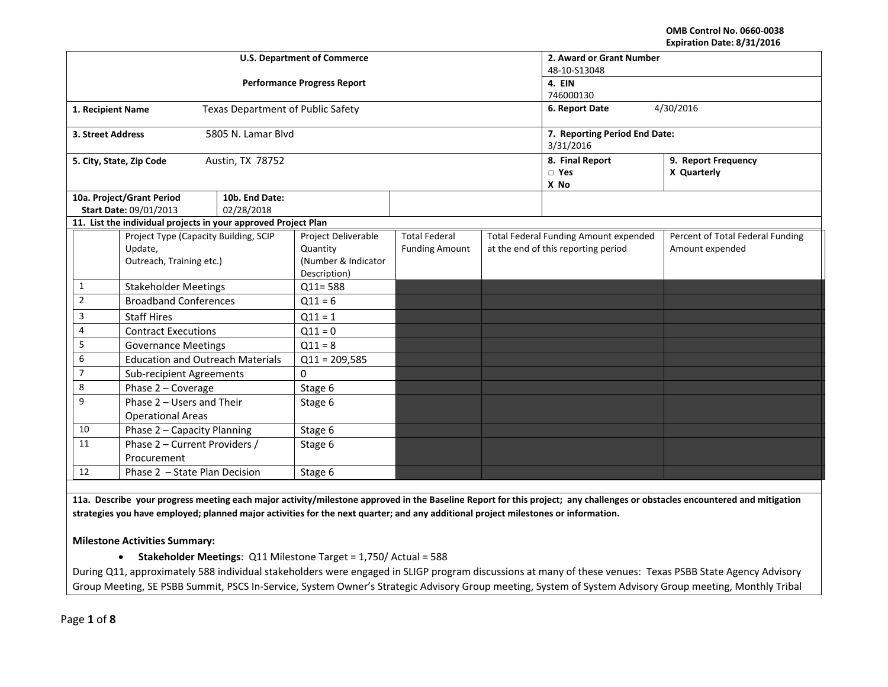#### **OMB Control No. 0660‐0038 Expiration Date: 8/31/2016**

|                   |                                                                              | <b>U.S. Department of Commerce</b> | 2. Award or Grant Number<br>48-10-S13048                               |                                               |                                                                                     |                                          |                                                     |
|-------------------|------------------------------------------------------------------------------|------------------------------------|------------------------------------------------------------------------|-----------------------------------------------|-------------------------------------------------------------------------------------|------------------------------------------|-----------------------------------------------------|
|                   |                                                                              | <b>Performance Progress Report</b> | 4. EIN                                                                 |                                               |                                                                                     |                                          |                                                     |
|                   |                                                                              |                                    | 746000130                                                              |                                               |                                                                                     |                                          |                                                     |
| 1. Recipient Name |                                                                              | Texas Department of Public Safety  |                                                                        | 4/30/2016<br>6. Report Date                   |                                                                                     |                                          |                                                     |
| 3. Street Address |                                                                              | 5805 N. Lamar Blvd                 |                                                                        | 7. Reporting Period End Date:<br>3/31/2016    |                                                                                     |                                          |                                                     |
|                   | 5. City, State, Zip Code                                                     | Austin, TX 78752                   |                                                                        |                                               |                                                                                     | 8. Final Report<br>$\square$ Yes<br>X No | 9. Report Frequency<br>X Quarterly                  |
|                   | 10a. Project/Grant Period<br>Start Date: 09/01/2013                          | 10b. End Date:<br>02/28/2018       |                                                                        |                                               |                                                                                     |                                          |                                                     |
|                   | 11. List the individual projects in your approved Project Plan               |                                    |                                                                        |                                               |                                                                                     |                                          |                                                     |
|                   | Project Type (Capacity Building, SCIP<br>Update,<br>Outreach, Training etc.) |                                    | Project Deliverable<br>Quantity<br>(Number & Indicator<br>Description) | <b>Total Federal</b><br><b>Funding Amount</b> | <b>Total Federal Funding Amount expended</b><br>at the end of this reporting period |                                          | Percent of Total Federal Funding<br>Amount expended |
| 1                 | <b>Stakeholder Meetings</b>                                                  |                                    | $Q11 = 588$                                                            |                                               |                                                                                     |                                          |                                                     |
| $\overline{2}$    | <b>Broadband Conferences</b>                                                 |                                    | $Q11 = 6$                                                              |                                               |                                                                                     |                                          |                                                     |
| 3                 | <b>Staff Hires</b>                                                           |                                    | $Q11 = 1$                                                              |                                               |                                                                                     |                                          |                                                     |
| 4                 | <b>Contract Executions</b>                                                   |                                    | $Q11 = 0$                                                              |                                               |                                                                                     |                                          |                                                     |
| 5                 | <b>Governance Meetings</b>                                                   |                                    | $Q11 = 8$                                                              |                                               |                                                                                     |                                          |                                                     |
| 6                 | <b>Education and Outreach Materials</b>                                      |                                    | $Q11 = 209,585$                                                        |                                               |                                                                                     |                                          |                                                     |
| $\overline{7}$    | <b>Sub-recipient Agreements</b>                                              |                                    | $\Omega$                                                               |                                               |                                                                                     |                                          |                                                     |
| 8                 | Phase 2 - Coverage                                                           |                                    | Stage 6                                                                |                                               |                                                                                     |                                          |                                                     |
| 9                 | Phase 2 - Users and Their<br><b>Operational Areas</b>                        |                                    | Stage 6                                                                |                                               |                                                                                     |                                          |                                                     |
| 10                | Phase 2 - Capacity Planning                                                  |                                    | Stage 6                                                                |                                               |                                                                                     |                                          |                                                     |
| 11                | Phase 2 - Current Providers /<br>Procurement                                 |                                    | Stage 6                                                                |                                               |                                                                                     |                                          |                                                     |
| 12                | Phase 2 - State Plan Decision                                                |                                    | Stage 6                                                                |                                               |                                                                                     |                                          |                                                     |

11a. Describe your progress meeting each major activity/milestone approved in the Baseline Report for this project; any challenges or obstacles encountered and mitigation strategies you have employed; planned major activities for the next quarter; and any additional project milestones or information.

**Milestone Activities Summary:**

**Stakeholder Meetings**: Q11 Milestone Target <sup>=</sup> 1,750/ Actual <sup>=</sup> 588

During Q11, approximately 588 individual stakeholders were engaged in SLIGP program discussions at many of these venues: Texas PSBB State Agency Advisory Group Meeting, SE PSBB Summit, PSCS In‐Service, System Owner's Strategic Advisory Group meeting, System of System Advisory Group meeting, Monthly Tribal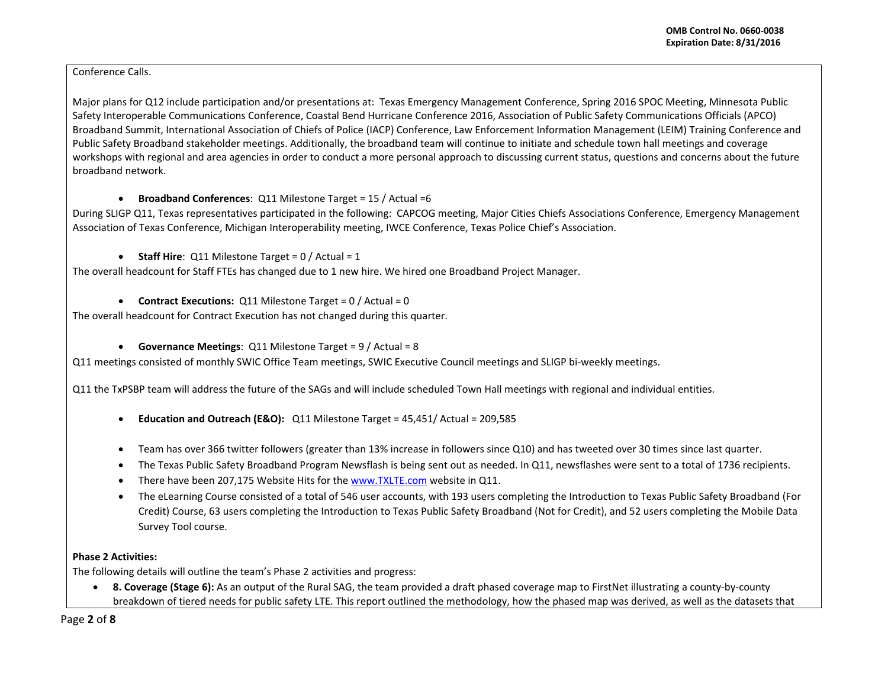## Conference Calls.

Major plans for Q12 include participation and/or presentations at: Texas Emergency Management Conference, Spring 2016 SPOC Meeting, Minnesota Public Safety Interoperable Communications Conference, Coastal Bend Hurricane Conference 2016, Association of Public Safety Communications Officials (APCO) Broadband Summit, International Association of Chiefs of Police (IACP) Conference, Law Enforcement Information Management (LEIM) Training Conference and Public Safety Broadband stakeholder meetings. Additionally, the broadband team will continue to initiate and schedule town hall meetings and coverage workshops with regional and area agencies in order to conduct <sup>a</sup> more personal approach to discussing current status, questions and concerns about the future broadband network.

# **Broadband Conferences**: Q11 Milestone Target <sup>=</sup> 15 / Actual =6

During SLIGP Q11, Texas representatives participated in the following: CAPCOG meeting, Major Cities Chiefs Associations Conference, Emergency Management Association of Texas Conference, Michigan Interoperability meeting, IWCE Conference, Texas Police Chief's Association.

# **Staff Hire**: Q11 Milestone Target <sup>=</sup> 0 / Actual <sup>=</sup> 1

The overall headcount for Staff FTEs has changed due to 1 new hire. We hired one Broadband Project Manager.

# **Contract Executions:** Q11 Milestone Target <sup>=</sup> 0 / Actual <sup>=</sup> 0

The overall headcount for Contract Execution has not changed during this quarter.

## **Governance Meetings**: Q11 Milestone Target <sup>=</sup> 9 / Actual <sup>=</sup> 8

Q11 meetings consisted of monthly SWIC Office Team meetings, SWIC Executive Council meetings and SLIGP bi-weekly meetings.

Q11 the TxPSBP team will address the future of the SAGs and will include scheduled Town Hall meetings with regional and individual entities.

- . **Education and Outreach (E&O):** Q11 Milestone Target <sup>=</sup> 45,451/ Actual <sup>=</sup> 209,585
- Team has over 366 twitter followers (greater than 13% increase in followers since Q10) and has tweeted over 30 times since last quarter.
- $\bullet$ The Texas Public Safety Broadband Program Newsflash is being sent out as needed. In Q11, newsflashes were sent to <sup>a</sup> total of 1736 recipients.
- $\bullet$ • There have been 207,175 Website Hits for the www.TXLTE.com website in Q11.
- . The eLearning Course consisted of <sup>a</sup> total of 546 user accounts, with 193 users completing the Introduction to Texas Public Safety Broadband (For Credit) Course, 63 users completing the Introduction to Texas Public Safety Broadband (Not for Credit), and 52 users completing the Mobile Data Survey Tool course.

# **Phase 2 Activities:**

The following details will outline the team's Phase 2 activities and progress:

 **8. Coverage (Stage 6):** As an output of the Rural SAG, the team provided <sup>a</sup> draft phased coverage map to FirstNet illustrating <sup>a</sup> county‐by‐county breakdown of tiered needs for public safety LTE. This report outlined the methodology, how the phased map was derived, as well as the datasets that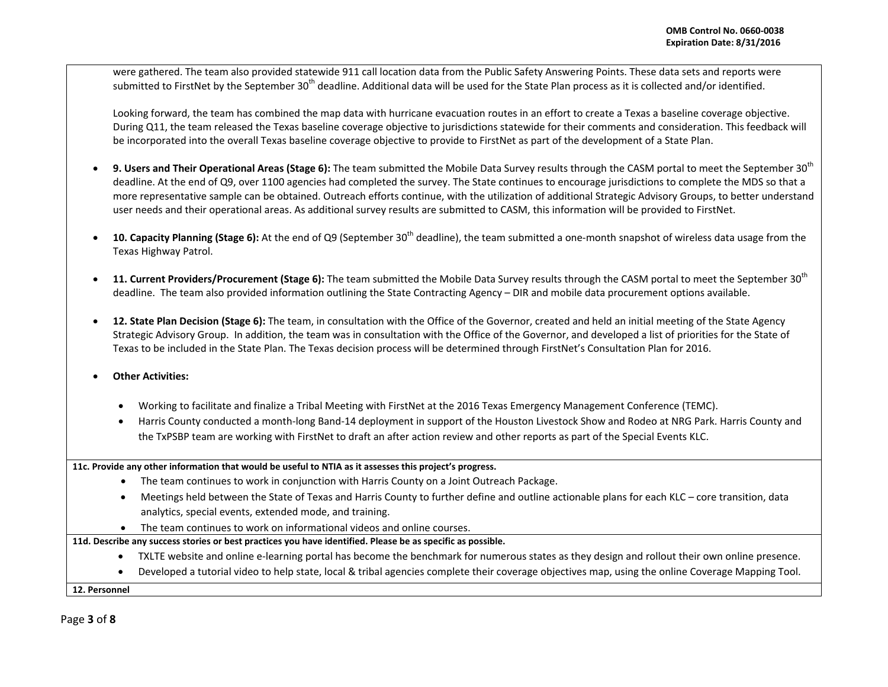were gathered. The team also provided statewide 911 call location data from the Public Safety Answering Points. These data sets and reports were submitted to FirstNet by the September 30<sup>th</sup> deadline. Additional data will be used for the State Plan process as it is collected and/or identified.

Looking forward, the team has combined the map data with hurricane evacuation routes in an effort to create <sup>a</sup> Texas <sup>a</sup> baseline coverage objective. During Q11, the team released the Texas baseline coverage objective to jurisdictions statewide for their comments and consideration. This feedback will be incorporated into the overall Texas baseline coverage objective to provide to FirstNet as part of the development of <sup>a</sup> State Plan.

- 0 **9. Users and Their Operational Areas (Stage 6):** The team submitted the Mobile Data Survey results through the CASM portal to meet the September 30<sup>th</sup> deadline. At the end of Q9, over 1100 agencies had completed the survey. The State continues to encourage jurisdictions to complete the MDS so that <sup>a</sup> more representative sample can be obtained. Outreach efforts continue, with the utilization of additional Strategic Advisory Groups, to better understand user needs and their operational areas. As additional survey results are submitted to CASM, this information will be provided to FirstNet.
- 0 **10. Capacity Planning (Stage 6):** At the end of Q9 (September 30<sup>th</sup> deadline), the team submitted a one-month snapshot of wireless data usage from the Texas Highway Patrol.
- 0 **11. Current Providers/Procurement (Stage 6):** The team submitted the Mobile Data Survey results through the CASM portal to meet the September <sup>30</sup>th deadline. The team also provided information outlining the State Contracting Agency – DIR and mobile data procurement options available.
- 0 **12. State Plan Decision (Stage 6):** The team, in consultation with the Office of the Governor, created and held an initial meeting of the State Agency Strategic Advisory Group. In addition, the team was in consultation with the Office of the Governor, and developed <sup>a</sup> list of priorities for the State of Texas to be included in the State Plan. The Texas decision process will be determined through FirstNet's Consultation Plan for 2016.
- e **Other Activities:**
	- Working to facilitate and finalize <sup>a</sup> Tribal Meeting with FirstNet at the 2016 Texas Emergency Management Conference (TEMC).
	- . Harris County conducted <sup>a</sup> month‐long Band‐14 deployment in support of the Houston Livestock Show and Rodeo at NRG Park. Harris County and the TxPSBP team are working with FirstNet to draft an after action review and other reports as part of the Special Events KLC.

**11c. Provide any other information that would be useful to NTIA as it assesses this project's progress.**

- The team continues to work in conjunction with Harris County on <sup>a</sup> Joint Outreach Package.
- Meetings held between the State of Texas and Harris County to further define and outline actionable plans for each KLC core transition, data analytics, special events, extended mode, and training.
- The team continues to work on informational videos and online courses.

11d. Describe any success stories or best practices you have identified. Please be as specific as possible.

- $\bullet$ ● TXLTE website and online e-learning portal has become the benchmark for numerous states as they design and rollout their own online presence.
- $\bullet$ Developed <sup>a</sup> tutorial video to help state, local & tribal agencies complete their coverage objectives map, using the online Coverage Mapping Tool.

**12. Personnel**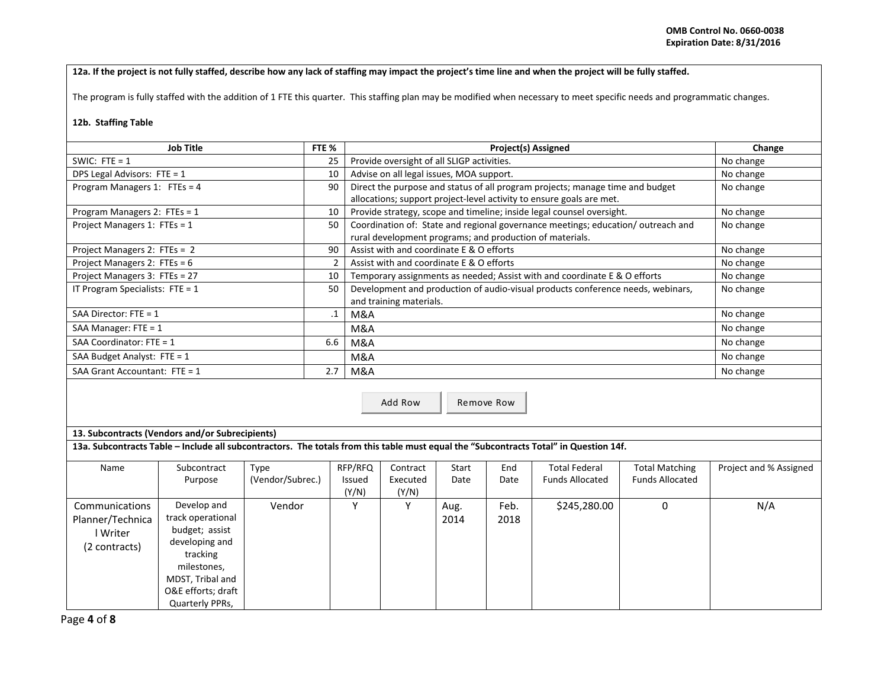### 12a. If the project is not fully staffed, describe how any lack of staffing may impact the project's time line and when the project will be fully staffed.

The program is fully staffed with the addition of 1 FTE this quarter. This staffing plan may be modified when necessary to meet specific needs and programmatic changes.

#### **12b. Staffing Table**

| <b>Job Title</b>                  | FTE % | <b>Project(s) Assigned</b>                                                      | Change    |
|-----------------------------------|-------|---------------------------------------------------------------------------------|-----------|
| SWIC: FTE = $1$                   | 25    | Provide oversight of all SLIGP activities.                                      | No change |
| DPS Legal Advisors: FTE = 1       | 10    | Advise on all legal issues, MOA support.                                        | No change |
| Program Managers 1: FTEs = $4$    | 90    | Direct the purpose and status of all program projects; manage time and budget   | No change |
|                                   |       | allocations; support project-level activity to ensure goals are met.            |           |
| Program Managers 2: FTEs = $1$    | 10    | Provide strategy, scope and timeline; inside legal counsel oversight.           | No change |
| Project Managers 1: FTEs = 1      | 50    | Coordination of: State and regional governance meetings; education/outreach and | No change |
|                                   |       | rural development programs; and production of materials.                        |           |
| Project Managers 2: FTEs = 2      | 90    | Assist with and coordinate E & O efforts                                        | No change |
| Project Managers 2: FTEs = 6      |       | Assist with and coordinate E & O efforts                                        | No change |
| Project Managers 3: FTEs = 27     | 10    | Temporary assignments as needed; Assist with and coordinate E & O efforts       | No change |
| IT Program Specialists: FTE = $1$ | 50    | Development and production of audio-visual products conference needs, webinars, | No change |
|                                   |       | and training materials.                                                         |           |
| SAA Director: FTE = 1             |       | M&A                                                                             | No change |
| SAA Manager: $FTE = 1$            |       | M&A                                                                             | No change |
| SAA Coordinator: FTE = 1          | 6.6   | M&A                                                                             | No change |
| SAA Budget Analyst: FTE = $1$     |       | M&A                                                                             | No change |
| SAA Grant Accountant: $FTE = 1$   | 2.7   | M&A                                                                             | No change |

Add RowRemove Row

### **13. Subcontracts (Vendors and/or Subrecipients)**

13a. Subcontracts Table – Include all subcontractors. The totals from this table must equal the "Subcontracts Total" in Question 14f.

| Name             | Subcontract        | Type             | RFP/RFQ      | Contract | Start | End  | <b>Total Federal</b>   | <b>Total Matching</b>  | Project and % Assigned |
|------------------|--------------------|------------------|--------------|----------|-------|------|------------------------|------------------------|------------------------|
|                  | Purpose            | (Vendor/Subrec.) | Issued       | Executed | Date  | Date | <b>Funds Allocated</b> | <b>Funds Allocated</b> |                        |
|                  |                    |                  | (Y/N)        | (Y/N)    |       |      |                        |                        |                        |
| Communications   | Develop and        | Vendor           | $\mathbf{v}$ |          | Aug.  | Feb. | \$245,280.00           |                        | N/A                    |
| Planner/Technica | track operational  |                  |              |          | 2014  | 2018 |                        |                        |                        |
| l Writer         | budget; assist     |                  |              |          |       |      |                        |                        |                        |
| (2 contracts)    | developing and     |                  |              |          |       |      |                        |                        |                        |
|                  | tracking           |                  |              |          |       |      |                        |                        |                        |
|                  | milestones,        |                  |              |          |       |      |                        |                        |                        |
|                  | MDST, Tribal and   |                  |              |          |       |      |                        |                        |                        |
|                  | O&E efforts; draft |                  |              |          |       |      |                        |                        |                        |
|                  | Quarterly PPRs,    |                  |              |          |       |      |                        |                        |                        |

Page **4** of **8**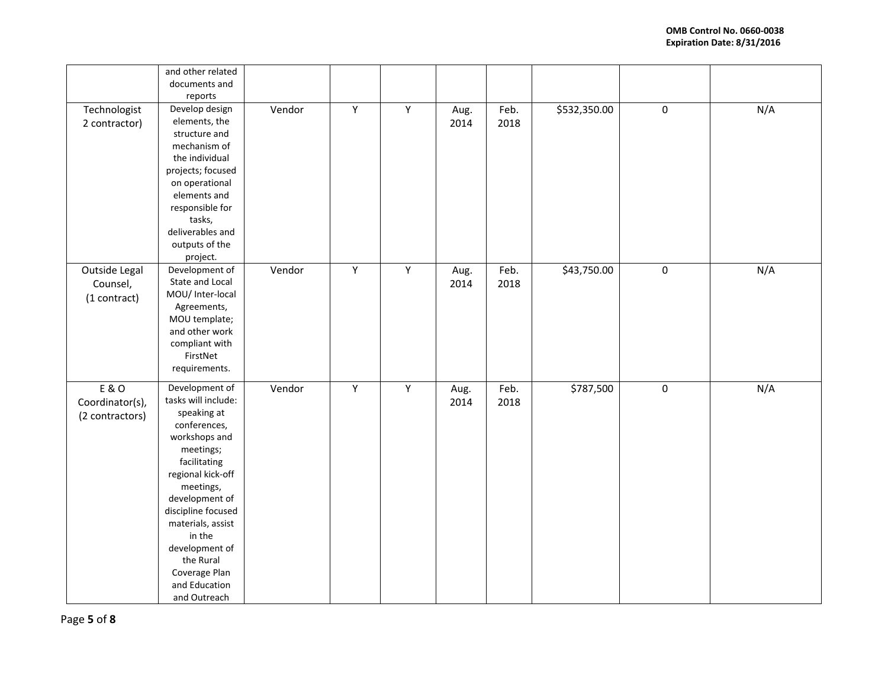|                                             | and other related<br>documents and<br>reports                                                                                                                                                                                                                                                                |        |              |             |              |              |              |           |     |
|---------------------------------------------|--------------------------------------------------------------------------------------------------------------------------------------------------------------------------------------------------------------------------------------------------------------------------------------------------------------|--------|--------------|-------------|--------------|--------------|--------------|-----------|-----|
| Technologist<br>2 contractor)               | Develop design<br>elements, the<br>structure and<br>mechanism of<br>the individual<br>projects; focused<br>on operational<br>elements and<br>responsible for<br>tasks,<br>deliverables and<br>outputs of the<br>project.                                                                                     | Vendor | $\mathsf Y$  | Y           | Aug.<br>2014 | Feb.<br>2018 | \$532,350.00 | $\pmb{0}$ | N/A |
| Outside Legal<br>Counsel,<br>(1 contract)   | Development of<br>State and Local<br>MOU/ Inter-local<br>Agreements,<br>MOU template;<br>and other work<br>compliant with<br>FirstNet<br>requirements.                                                                                                                                                       | Vendor | $\mathsf{Y}$ | $\mathsf Y$ | Aug.<br>2014 | Feb.<br>2018 | \$43,750.00  | $\pmb{0}$ | N/A |
| E & O<br>Coordinator(s),<br>(2 contractors) | Development of<br>tasks will include:<br>speaking at<br>conferences,<br>workshops and<br>meetings;<br>facilitating<br>regional kick-off<br>meetings,<br>development of<br>discipline focused<br>materials, assist<br>in the<br>development of<br>the Rural<br>Coverage Plan<br>and Education<br>and Outreach | Vendor | $\mathsf Y$  | $\mathsf Y$ | Aug.<br>2014 | Feb.<br>2018 | \$787,500    | $\pmb{0}$ | N/A |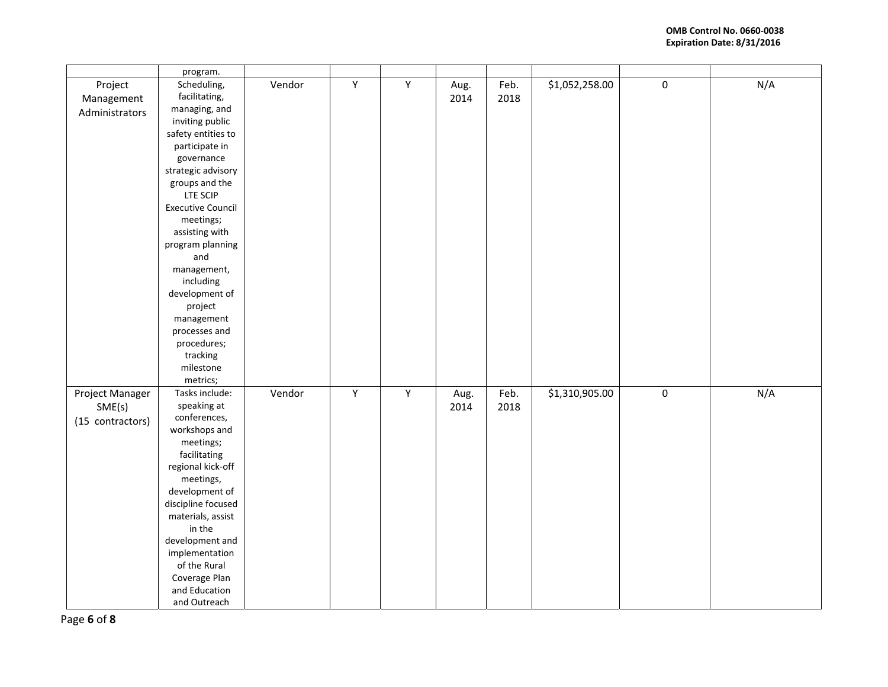|                                               | program.                                                                                                                                                                                                                                                                                                                                                                                                     |        |                |             |              |              |                |           |     |
|-----------------------------------------------|--------------------------------------------------------------------------------------------------------------------------------------------------------------------------------------------------------------------------------------------------------------------------------------------------------------------------------------------------------------------------------------------------------------|--------|----------------|-------------|--------------|--------------|----------------|-----------|-----|
| Project<br>Management<br>Administrators       | Scheduling,<br>facilitating,<br>managing, and<br>inviting public<br>safety entities to<br>participate in<br>governance<br>strategic advisory<br>groups and the<br>LTE SCIP<br><b>Executive Council</b><br>meetings;<br>assisting with<br>program planning<br>and<br>management,<br>including<br>development of<br>project<br>management<br>processes and<br>procedures;<br>tracking<br>milestone<br>metrics; | Vendor | Y              | Y           | Aug.<br>2014 | Feb.<br>2018 | \$1,052,258.00 | $\pmb{0}$ | N/A |
| Project Manager<br>SME(s)<br>(15 contractors) | Tasks include:<br>speaking at<br>conferences,<br>workshops and<br>meetings;<br>facilitating<br>regional kick-off<br>meetings,<br>development of<br>discipline focused<br>materials, assist<br>in the<br>development and<br>implementation<br>of the Rural<br>Coverage Plan<br>and Education<br>and Outreach                                                                                                  | Vendor | $\overline{Y}$ | $\mathsf Y$ | Aug.<br>2014 | Feb.<br>2018 | \$1,310,905.00 | $\pmb{0}$ | N/A |

Page **6** of **8**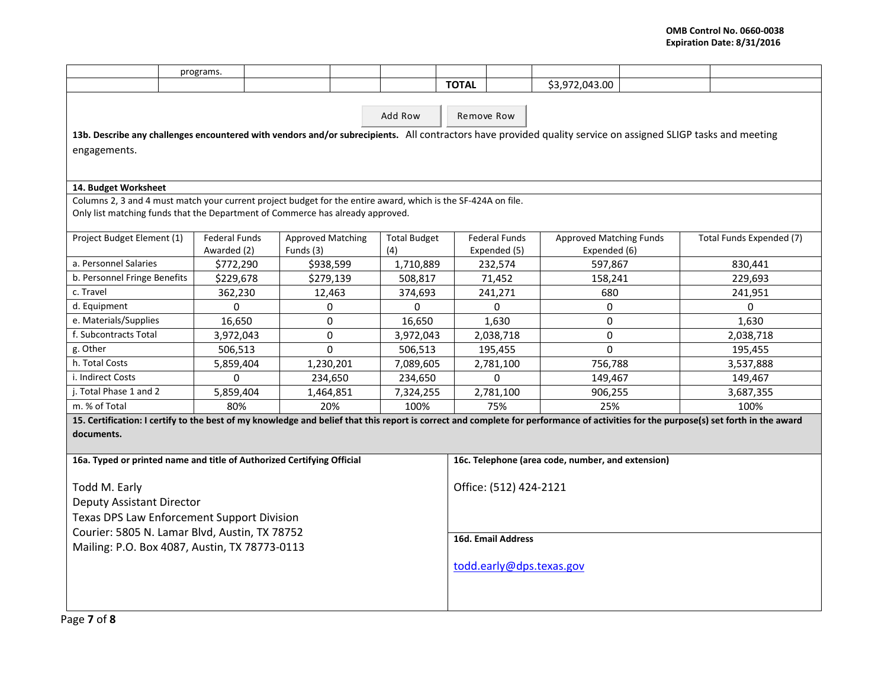|                                                                                                               | programs. |               |                          |  |                     |                        |                                                   |                                |                                                                                                                                                               |                                                                                                                                                                                      |  |
|---------------------------------------------------------------------------------------------------------------|-----------|---------------|--------------------------|--|---------------------|------------------------|---------------------------------------------------|--------------------------------|---------------------------------------------------------------------------------------------------------------------------------------------------------------|--------------------------------------------------------------------------------------------------------------------------------------------------------------------------------------|--|
|                                                                                                               |           |               |                          |  |                     | <b>TOTAL</b>           |                                                   | \$3,972,043.00                 |                                                                                                                                                               |                                                                                                                                                                                      |  |
|                                                                                                               |           |               |                          |  |                     |                        |                                                   |                                |                                                                                                                                                               |                                                                                                                                                                                      |  |
|                                                                                                               |           |               |                          |  | Remove Row          |                        |                                                   |                                |                                                                                                                                                               |                                                                                                                                                                                      |  |
|                                                                                                               |           |               |                          |  |                     |                        |                                                   |                                | 13b. Describe any challenges encountered with vendors and/or subrecipients. All contractors have provided quality service on assigned SLIGP tasks and meeting |                                                                                                                                                                                      |  |
| engagements.                                                                                                  |           |               |                          |  |                     |                        |                                                   |                                |                                                                                                                                                               |                                                                                                                                                                                      |  |
|                                                                                                               |           |               |                          |  |                     |                        |                                                   |                                |                                                                                                                                                               |                                                                                                                                                                                      |  |
|                                                                                                               |           |               |                          |  |                     |                        |                                                   |                                |                                                                                                                                                               |                                                                                                                                                                                      |  |
| 14. Budget Worksheet                                                                                          |           |               |                          |  |                     |                        |                                                   |                                |                                                                                                                                                               |                                                                                                                                                                                      |  |
| Columns 2, 3 and 4 must match your current project budget for the entire award, which is the SF-424A on file. |           |               |                          |  |                     |                        |                                                   |                                |                                                                                                                                                               |                                                                                                                                                                                      |  |
| Only list matching funds that the Department of Commerce has already approved.                                |           |               |                          |  |                     |                        |                                                   |                                |                                                                                                                                                               |                                                                                                                                                                                      |  |
| Project Budget Element (1)                                                                                    |           | Federal Funds | <b>Approved Matching</b> |  | <b>Total Budget</b> |                        | <b>Federal Funds</b>                              | <b>Approved Matching Funds</b> |                                                                                                                                                               | Total Funds Expended (7)                                                                                                                                                             |  |
|                                                                                                               |           | Awarded (2)   | Funds (3)                |  | (4)                 |                        | Expended (5)                                      | Expended (6)                   |                                                                                                                                                               |                                                                                                                                                                                      |  |
| a. Personnel Salaries                                                                                         |           | \$772,290     | \$938,599                |  | 1,710,889           |                        | 232,574                                           | 597,867                        |                                                                                                                                                               | 830,441                                                                                                                                                                              |  |
| b. Personnel Fringe Benefits                                                                                  |           | \$229,678     | \$279,139                |  | 508,817             |                        | 71,452                                            | 158,241                        |                                                                                                                                                               | 229,693                                                                                                                                                                              |  |
| c. Travel                                                                                                     |           | 362,230       | 12,463                   |  | 374,693             |                        | 241,271                                           | 680                            |                                                                                                                                                               | 241,951                                                                                                                                                                              |  |
| d. Equipment                                                                                                  |           | $\Omega$      | $\Omega$                 |  | $\Omega$            |                        | $\Omega$                                          | $\Omega$                       |                                                                                                                                                               | $\Omega$                                                                                                                                                                             |  |
| e. Materials/Supplies                                                                                         |           | 16,650        | $\Omega$                 |  | 16,650              |                        | 1,630                                             | $\Omega$                       |                                                                                                                                                               | 1,630                                                                                                                                                                                |  |
| f. Subcontracts Total                                                                                         |           | 3,972,043     | 0                        |  | 3,972,043           |                        | 2,038,718                                         | 0                              |                                                                                                                                                               | 2,038,718                                                                                                                                                                            |  |
| g. Other                                                                                                      |           | 506,513       | $\Omega$                 |  | 506,513             |                        | 195,455                                           | $\Omega$                       |                                                                                                                                                               | 195,455                                                                                                                                                                              |  |
| h. Total Costs                                                                                                |           | 5,859,404     | 1,230,201                |  | 7,089,605           |                        | 2,781,100                                         | 756,788                        |                                                                                                                                                               | 3,537,888                                                                                                                                                                            |  |
| i. Indirect Costs                                                                                             |           | $\Omega$      | 234,650                  |  | 234,650             |                        | $\Omega$                                          | 149,467                        |                                                                                                                                                               | 149,467                                                                                                                                                                              |  |
| j. Total Phase 1 and 2                                                                                        |           | 5,859,404     | 1,464,851                |  | 7,324,255           |                        | 2,781,100                                         | 906,255                        |                                                                                                                                                               | 3,687,355                                                                                                                                                                            |  |
| m. % of Total                                                                                                 |           | 80%           | 20%                      |  | 100%                |                        | 75%                                               | 25%                            |                                                                                                                                                               | 100%                                                                                                                                                                                 |  |
|                                                                                                               |           |               |                          |  |                     |                        |                                                   |                                |                                                                                                                                                               | 15. Certification: I certify to the best of my knowledge and belief that this report is correct and complete for performance of activities for the purpose(s) set forth in the award |  |
| documents.                                                                                                    |           |               |                          |  |                     |                        |                                                   |                                |                                                                                                                                                               |                                                                                                                                                                                      |  |
|                                                                                                               |           |               |                          |  |                     |                        |                                                   |                                |                                                                                                                                                               |                                                                                                                                                                                      |  |
| 16a. Typed or printed name and title of Authorized Certifying Official                                        |           |               |                          |  |                     |                        | 16c. Telephone (area code, number, and extension) |                                |                                                                                                                                                               |                                                                                                                                                                                      |  |
|                                                                                                               |           |               |                          |  |                     | Office: (512) 424-2121 |                                                   |                                |                                                                                                                                                               |                                                                                                                                                                                      |  |
| Todd M. Early                                                                                                 |           |               |                          |  |                     |                        |                                                   |                                |                                                                                                                                                               |                                                                                                                                                                                      |  |
| Deputy Assistant Director<br>Texas DPS Law Enforcement Support Division                                       |           |               |                          |  |                     |                        |                                                   |                                |                                                                                                                                                               |                                                                                                                                                                                      |  |
|                                                                                                               |           |               |                          |  |                     |                        |                                                   |                                |                                                                                                                                                               |                                                                                                                                                                                      |  |
| Courier: 5805 N. Lamar Blvd, Austin, TX 78752                                                                 |           |               |                          |  |                     |                        | <b>16d. Email Address</b>                         |                                |                                                                                                                                                               |                                                                                                                                                                                      |  |
| Mailing: P.O. Box 4087, Austin, TX 78773-0113                                                                 |           |               |                          |  |                     |                        |                                                   |                                |                                                                                                                                                               |                                                                                                                                                                                      |  |
|                                                                                                               |           |               |                          |  |                     |                        | todd.early@dps.texas.gov                          |                                |                                                                                                                                                               |                                                                                                                                                                                      |  |
|                                                                                                               |           |               |                          |  |                     |                        |                                                   |                                |                                                                                                                                                               |                                                                                                                                                                                      |  |
|                                                                                                               |           |               |                          |  |                     |                        |                                                   |                                |                                                                                                                                                               |                                                                                                                                                                                      |  |
|                                                                                                               |           |               |                          |  |                     |                        |                                                   |                                |                                                                                                                                                               |                                                                                                                                                                                      |  |